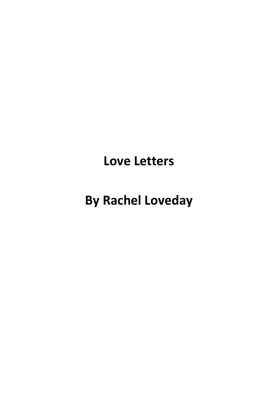## **Love Letters**

# **By Rachel Loveday**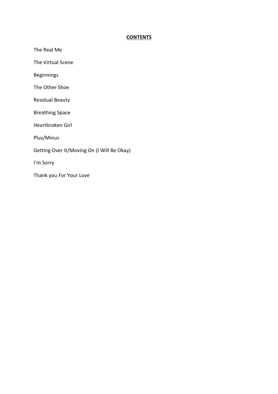### **CONTENTS**

The Real Me

The Virtual Scene

Beginnings

The Other Shoe

Residual Beauty

Breathing Space

Heartbroken Girl

Plus/Minus

Getting Over It/Moving On (I Will Be Okay)

I'm Sorry

Thank you For Your Love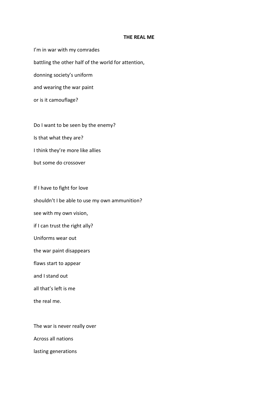#### **THE REAL ME**

I'm in war with my comrades battling the other half of the world for attention, donning society's uniform and wearing the war paint or is it camouflage?

Do I want to be seen by the enemy?

Is that what they are?

I think they're more like allies

but some do crossover

If I have to fight for love

shouldn't I be able to use my own ammunition?

see with my own vision,

if I can trust the right ally?

Uniforms wear out

the war paint disappears

flaws start to appear

and I stand out

all that's left is me

the real me.

The war is never really over

Across all nations

lasting generations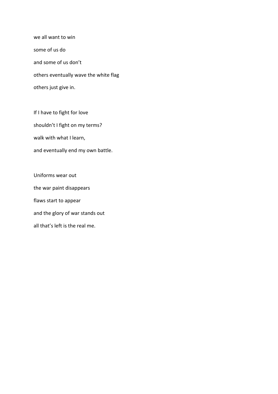we all want to win some of us do and some of us don't others eventually wave the white flag others just give in.

If I have to fight for love shouldn't I fight on my terms? walk with what I learn, and eventually end my own battle.

Uniforms wear out the war paint disappears flaws start to appear and the glory of war stands out all that's left is the real me.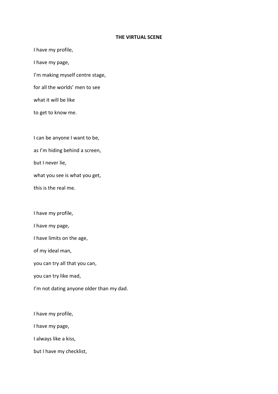#### **THE VIRTUAL SCENE**

I have my profile, I have my page, I'm making myself centre stage, for all the worlds' men to see what it will be like to get to know me.

I can be anyone I want to be,

as I'm hiding behind a screen,

but I never lie,

what you see is what you get,

this is the real me.

I have my profile,

I have my page,

I have limits on the age,

of my ideal man,

you can try all that you can,

you can try like mad,

I'm not dating anyone older than my dad.

I have my profile,

I have my page,

I always like a kiss,

but I have my checklist,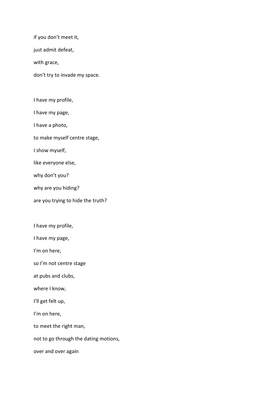if you don't meet it,

just admit defeat,

with grace,

don't try to invade my space.

I have my profile,

I have my page,

I have a photo,

to make myself centre stage,

I show myself,

like everyone else,

why don't you?

why are you hiding?

are you trying to hide the truth?

I have my profile,

I have my page,

I'm on here,

so I'm not centre stage

at pubs and clubs,

where I know,

I'll get felt up,

I'm on here,

to meet the right man,

not to go through the dating motions,

over and over again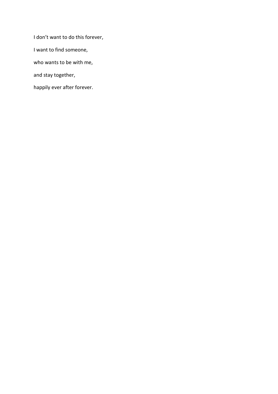I don't want to do this forever, I want to find someone, who wants to be with me, and stay together, happily ever after forever.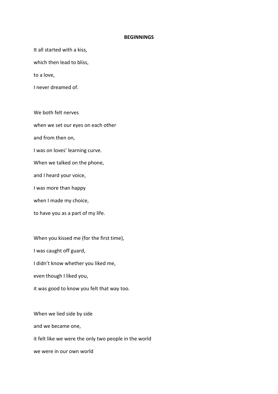#### **BEGINNINGS**

It all started with a kiss,

which then lead to bliss,

to a love,

I never dreamed of.

We both felt nerves when we set our eyes on each other and from then on, I was on loves' learning curve. When we talked on the phone, and I heard your voice, I was more than happy when I made my choice, to have you as a part of my life.

When you kissed me (for the first time), I was caught off guard, I didn't know whether you liked me, even though I liked you, it was good to know you felt that way too.

When we lied side by side and we became one, it felt like we were the only two people in the world we were in our own world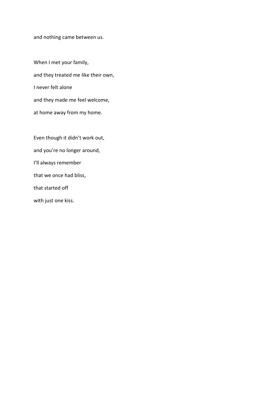and nothing came between us.

When I met your family, and they treated me like their own, I never felt alone and they made me feel welcome, at home away from my home.

Even though it didn't work out, and you're no longer around, I'll always remember that we once had bliss, that started off with just one kiss.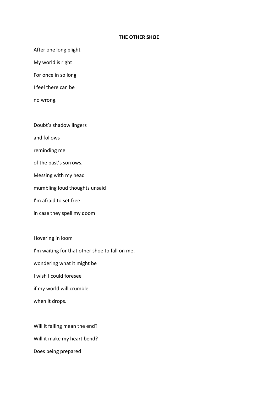#### **THE OTHER SHOE**

After one long plight

My world is right

For once in so long

I feel there can be

no wrong.

Doubt's shadow lingers

and follows

reminding me

of the past's sorrows.

Messing with my head

mumbling loud thoughts unsaid

I'm afraid to set free

in case they spell my doom

Hovering in loom

I'm waiting for that other shoe to fall on me,

wondering what it might be

I wish I could foresee

if my world will crumble

when it drops.

Will it falling mean the end?

Will it make my heart bend?

Does being prepared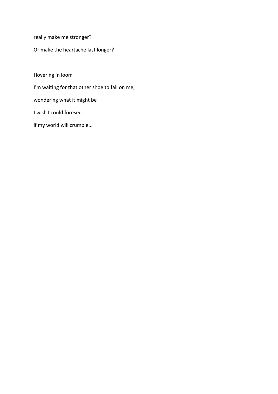really make me stronger?

Or make the heartache last longer?

Hovering in loom

I'm waiting for that other shoe to fall on me,

wondering what it might be

I wish I could foresee

if my world will crumble...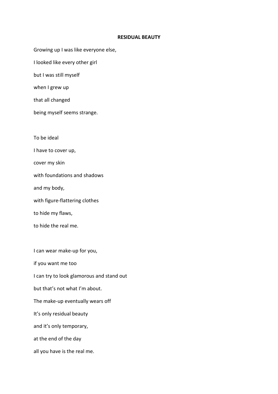#### **RESIDUAL BEAUTY**

Growing up I was like everyone else,

I looked like every other girl

but I was still myself

when I grew up

that all changed

being myself seems strange.

To be ideal

I have to cover up,

cover my skin

with foundations and shadows

and my body,

with figure-flattering clothes

to hide my flaws,

to hide the real me.

I can wear make-up for you, if you want me too I can try to look glamorous and stand out but that's not what I'm about. The make-up eventually wears off It's only residual beauty and it's only temporary, at the end of the day all you have is the real me.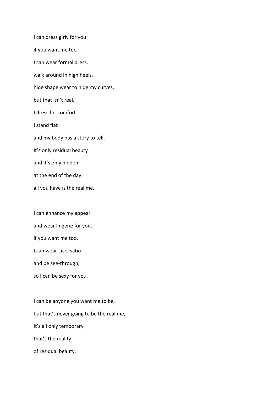I can dress girly for you if you want me too I can wear formal dress, walk around in high heels, hide shape wear to hide my curves, but that isn't real, I dress for comfort I stand flat and my body has a story to tell. It's only residual beauty and it's only hidden, at the end of the day all you have is the real me.

I can enhance my appeal

and wear lingerie for you,

if you want me too,

I can wear lace, satin

and be see-through,

so I can be sexy for you.

I can be anyone you want me to be, but that's never going to be the real me, It's all only temporary that's the reality of residual beauty.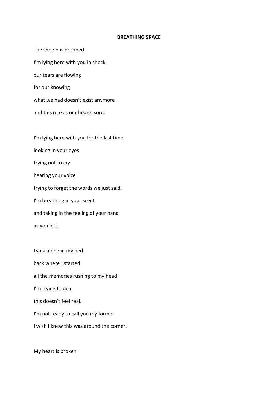#### **BREATHING SPACE**

The shoe has dropped I'm lying here with you in shock our tears are flowing for our knowing what we had doesn't exist anymore and this makes our hearts sore. I'm lying here with you for the last time looking in your eyes trying not to cry hearing your voice trying to forget the words we just said. I'm breathing in your scent and taking in the feeling of your hand as you left.

Lying alone in my bed back where I started all the memories rushing to my head I'm trying to deal this doesn't feel real. I'm not ready to call you my former I wish I knew this was around the corner.

My heart is broken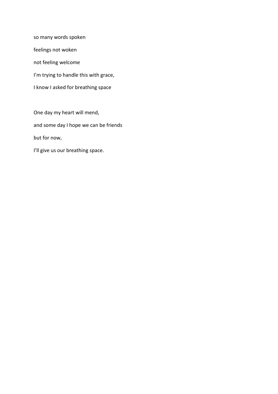so many words spoken feelings not woken not feeling welcome I'm trying to handle this with grace, I know I asked for breathing space

One day my heart will mend, and some day I hope we can be friends but for now, I'll give us our breathing space.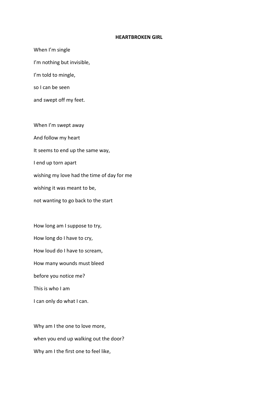#### **HEARTBROKEN GIRL**

When I'm single I'm nothing but invisible, I'm told to mingle, so I can be seen and swept off my feet. When I'm swept away And follow my heart It seems to end up the same way, I end up torn apart wishing my love had the time of day for me wishing it was meant to be, not wanting to go back to the start How long am I suppose to try, How long do I have to cry, How loud do I have to scream,

How many wounds must bleed

before you notice me?

This is who I am

I can only do what I can.

Why am I the one to love more, when you end up walking out the door? Why am I the first one to feel like,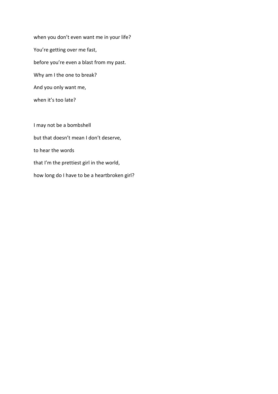when you don't even want me in your life? You're getting over me fast, before you're even a blast from my past. Why am I the one to break? And you only want me,

when it's too late?

I may not be a bombshell but that doesn't mean I don't deserve, to hear the words that I'm the prettiest girl in the world, how long do I have to be a heartbroken girl?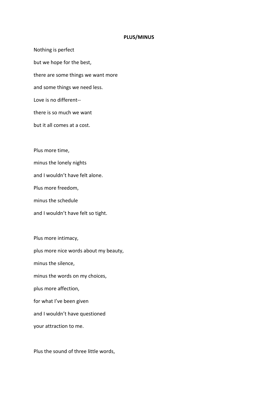#### **PLUS/MINUS**

Nothing is perfect but we hope for the best, there are some things we want more and some things we need less. Love is no different- there is so much we want but it all comes at a cost.

Plus more time,

minus the lonely nights

and I wouldn't have felt alone.

Plus more freedom,

minus the schedule

and I wouldn't have felt so tight.

Plus more intimacy, plus more nice words about my beauty, minus the silence, minus the words on my choices, plus more affection, for what I've been given and I wouldn't have questioned your attraction to me.

Plus the sound of three little words,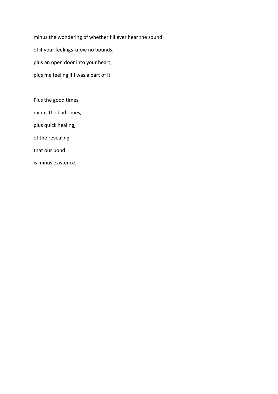minus the wondering of whether I'll ever hear the sound of if your feelings know no bounds, plus an open door into your heart, plus me feeling if I was a part of it.

Plus the good times, minus the bad times, plus quick healing, of the revealing, that our bond is minus existence.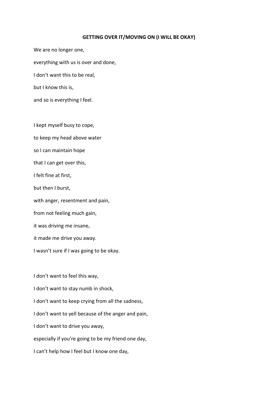#### **GETTING OVER IT/MOVING ON (I WILL BE OKAY)**

We are no longer one, everything with us is over and done, I don't want this to be real, but I know this is, and so is everything I feel.

I kept myself busy to cope,

to keep my head above water

so I can maintain hope

that I can get over this,

I felt fine at first,

but then I burst,

with anger, resentment and pain,

from not feeling much gain,

it was driving me insane,

it made me drive you away.

I wasn't sure if I was going to be okay.

I don't want to feel this way, I don't want to stay numb in shock, I don't want to keep crying from all the sadness, I don't want to yell because of the anger and pain, I don't want to drive you away, especially if you're going to be my friend one day, I can't help how I feel but I know one day,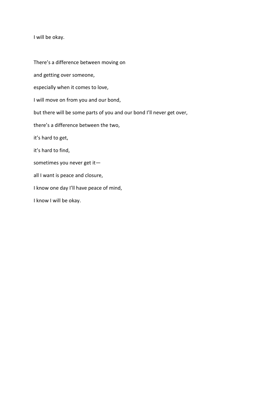I will be okay.

There's a difference between moving on and getting over someone, especially when it comes to love, I will move on from you and our bond, but there will be some parts of you and our bond I'll never get over, there's a difference between the two, it's hard to get, it's hard to find, sometimes you never get it all I want is peace and closure, I know one day I'll have peace of mind, I know I will be okay.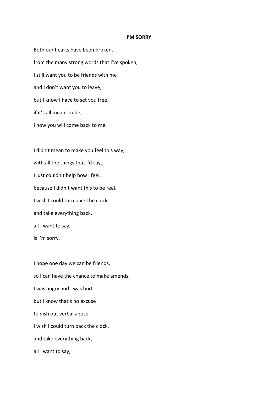#### **I'M SORRY**

Both our hearts have been broken, from the many strong words that I've spoken, I still want you to be friends with me and I don't want you to leave, but I know I have to set you free, if it's all meant to be, I now you will come back to me.

I didn't mean to make you feel this way, with all the things that I'd say, I just couldn't help how I feel, because I didn't want this to be real, I wish I could turn back the clock and take everything back, all I want to say, is I'm sorry.

I hope one day we can be friends, so I can have the chance to make amends, I was angry and I was hurt but I know that's no excuse to dish out verbal abuse, I wish I could turn back the clock, and take everything back, all I want to say,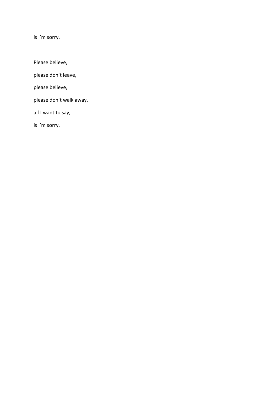is I'm sorry.

Please believe,

please don't leave,

please believe,

please don't walk away,

all I want to say,

is I'm sorry.